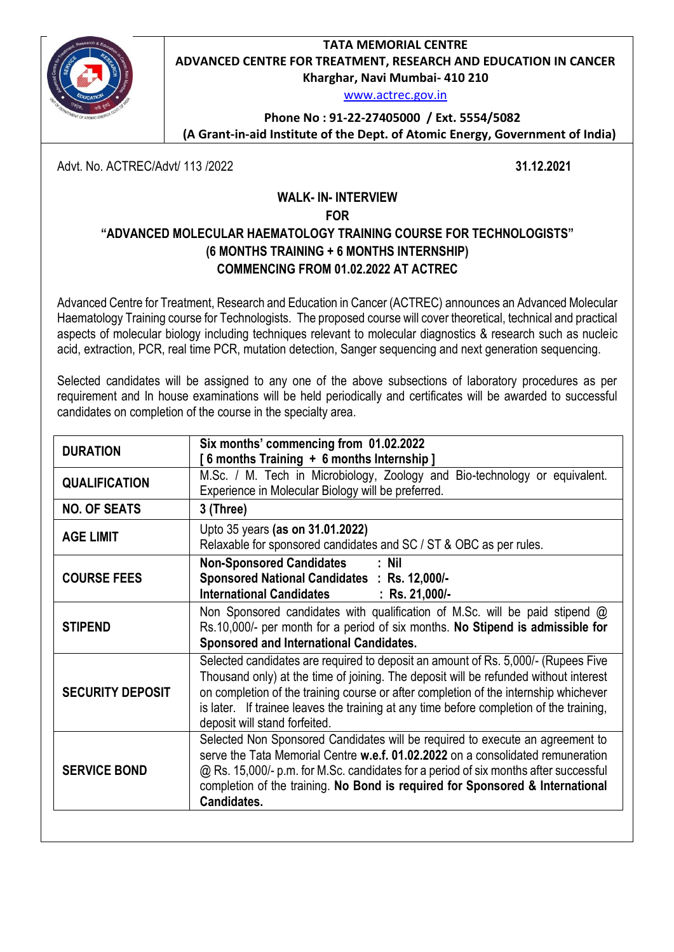**TATA MEMORIAL CENTRE ADVANCED CENTRE FOR TREATMENT, RESEARCH AND EDUCATION IN CANCER Kharghar, Navi Mumbai- 410 210**



[www.actrec.gov.in](http://www.actrec.gov.in/)

**Phone No : 91-22-27405000 / Ext. 5554/5082**

 **(A Grant-in-aid Institute of the Dept. of Atomic Energy, Government of India)**

Advt. No. ACTREC/Advt/ 113 /2022 **31.12.2021**

## **WALK- IN- INTERVIEW FOR "ADVANCED MOLECULAR HAEMATOLOGY TRAINING COURSE FOR TECHNOLOGISTS" (6 MONTHS TRAINING + 6 MONTHS INTERNSHIP) COMMENCING FROM 01.02.2022 AT ACTREC**

Advanced Centre for Treatment, Research and Education in Cancer (ACTREC) announces an Advanced Molecular Haematology Training course for Technologists. The proposed course will cover theoretical, technical and practical aspects of molecular biology including techniques relevant to molecular diagnostics & research such as nucleic acid, extraction, PCR, real time PCR, mutation detection, Sanger sequencing and next generation sequencing.

Selected candidates will be assigned to any one of the above subsections of laboratory procedures as per requirement and In house examinations will be held periodically and certificates will be awarded to successful candidates on completion of the course in the specialty area.

| <b>DURATION</b>         | Six months' commencing from 01.02.2022<br>6 months Training + 6 months Internship]                                                                                                                                                                                                                                                                                                            |
|-------------------------|-----------------------------------------------------------------------------------------------------------------------------------------------------------------------------------------------------------------------------------------------------------------------------------------------------------------------------------------------------------------------------------------------|
| <b>QUALIFICATION</b>    | M.Sc. / M. Tech in Microbiology, Zoology and Bio-technology or equivalent.<br>Experience in Molecular Biology will be preferred.                                                                                                                                                                                                                                                              |
| <b>NO. OF SEATS</b>     | 3 (Three)                                                                                                                                                                                                                                                                                                                                                                                     |
| <b>AGE LIMIT</b>        | Upto 35 years (as on 31.01.2022)<br>Relaxable for sponsored candidates and SC / ST & OBC as per rules.                                                                                                                                                                                                                                                                                        |
| <b>COURSE FEES</b>      | <b>Non-Sponsored Candidates</b><br>: Nil<br>Sponsored National Candidates : Rs. 12,000/-<br><b>International Candidates</b><br>$:$ Rs. 21,000/-                                                                                                                                                                                                                                               |
| <b>STIPEND</b>          | Non Sponsored candidates with qualification of M.Sc. will be paid stipend @<br>Rs.10,000/- per month for a period of six months. No Stipend is admissible for<br>Sponsored and International Candidates.                                                                                                                                                                                      |
| <b>SECURITY DEPOSIT</b> | Selected candidates are required to deposit an amount of Rs. 5,000/- (Rupees Five<br>Thousand only) at the time of joining. The deposit will be refunded without interest<br>on completion of the training course or after completion of the internship whichever<br>is later. If trainee leaves the training at any time before completion of the training,<br>deposit will stand forfeited. |
| <b>SERVICE BOND</b>     | Selected Non Sponsored Candidates will be required to execute an agreement to<br>serve the Tata Memorial Centre w.e.f. 01.02.2022 on a consolidated remuneration<br>@ Rs. 15,000/- p.m. for M.Sc. candidates for a period of six months after successful<br>completion of the training. No Bond is required for Sponsored & International<br>Candidates.                                      |
|                         |                                                                                                                                                                                                                                                                                                                                                                                               |